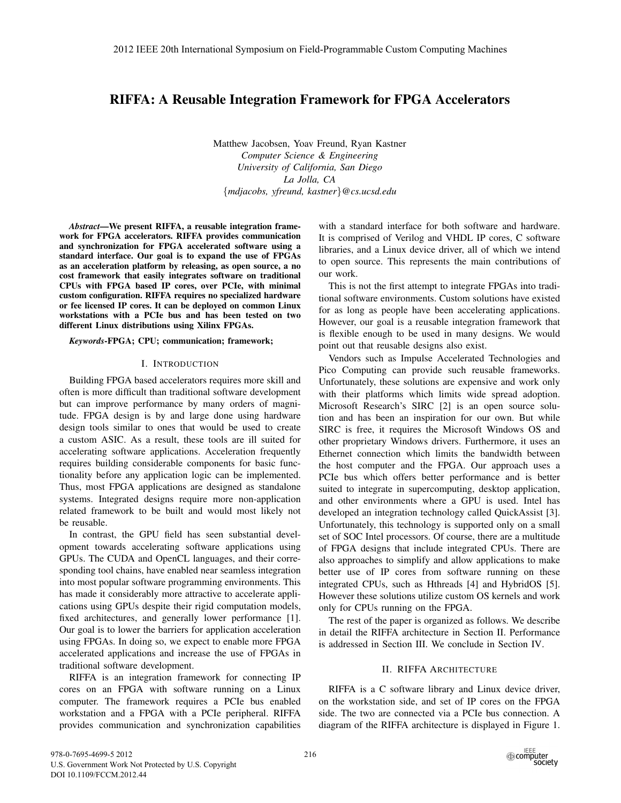# RIFFA: A Reusable Integration Framework for FPGA Accelerators

Matthew Jacobsen, Yoav Freund, Ryan Kastner *Computer Science & Engineering University of California, San Diego La Jolla, CA* {*mdjacobs, yfreund, kastner*}*@cs.ucsd.edu*

*Abstract*—We present RIFFA, a reusable integration framework for FPGA accelerators. RIFFA provides communication and synchronization for FPGA accelerated software using a standard interface. Our goal is to expand the use of FPGAs as an acceleration platform by releasing, as open source, a no cost framework that easily integrates software on traditional CPUs with FPGA based IP cores, over PCIe, with minimal custom configuration. RIFFA requires no specialized hardware or fee licensed IP cores. It can be deployed on common Linux workstations with a PCIe bus and has been tested on two different Linux distributions using Xilinx FPGAs.

# *Keywords*-FPGA; CPU; communication; framework;

#### I. INTRODUCTION

Building FPGA based accelerators requires more skill and often is more difficult than traditional software development but can improve performance by many orders of magnitude. FPGA design is by and large done using hardware design tools similar to ones that would be used to create a custom ASIC. As a result, these tools are ill suited for accelerating software applications. Acceleration frequently requires building considerable components for basic functionality before any application logic can be implemented. Thus, most FPGA applications are designed as standalone systems. Integrated designs require more non-application related framework to be built and would most likely not be reusable.

In contrast, the GPU field has seen substantial development towards accelerating software applications using GPUs. The CUDA and OpenCL languages, and their corresponding tool chains, have enabled near seamless integration into most popular software programming environments. This has made it considerably more attractive to accelerate applications using GPUs despite their rigid computation models, fixed architectures, and generally lower performance [1]. Our goal is to lower the barriers for application acceleration using FPGAs. In doing so, we expect to enable more FPGA accelerated applications and increase the use of FPGAs in traditional software development.

RIFFA is an integration framework for connecting IP cores on an FPGA with software running on a Linux computer. The framework requires a PCIe bus enabled workstation and a FPGA with a PCIe peripheral. RIFFA provides communication and synchronization capabilities with a standard interface for both software and hardware. It is comprised of Verilog and VHDL IP cores, C software libraries, and a Linux device driver, all of which we intend to open source. This represents the main contributions of our work.

This is not the first attempt to integrate FPGAs into traditional software environments. Custom solutions have existed for as long as people have been accelerating applications. However, our goal is a reusable integration framework that is flexible enough to be used in many designs. We would point out that reusable designs also exist.

Vendors such as Impulse Accelerated Technologies and Pico Computing can provide such reusable frameworks. Unfortunately, these solutions are expensive and work only with their platforms which limits wide spread adoption. Microsoft Research's SIRC [2] is an open source solution and has been an inspiration for our own. But while SIRC is free, it requires the Microsoft Windows OS and other proprietary Windows drivers. Furthermore, it uses an Ethernet connection which limits the bandwidth between the host computer and the FPGA. Our approach uses a PCIe bus which offers better performance and is better suited to integrate in supercomputing, desktop application, and other environments where a GPU is used. Intel has developed an integration technology called QuickAssist [3]. Unfortunately, this technology is supported only on a small set of SOC Intel processors. Of course, there are a multitude of FPGA designs that include integrated CPUs. There are also approaches to simplify and allow applications to make better use of IP cores from software running on these integrated CPUs, such as Hthreads [4] and HybridOS [5]. However these solutions utilize custom OS kernels and work only for CPUs running on the FPGA.

The rest of the paper is organized as follows. We describe in detail the RIFFA architecture in Section II. Performance is addressed in Section III. We conclude in Section IV.

## II. RIFFA ARCHITECTURE

RIFFA is a C software library and Linux device driver, on the workstation side, and set of IP cores on the FPGA side. The two are connected via a PCIe bus connection. A diagram of the RIFFA architecture is displayed in Figure 1.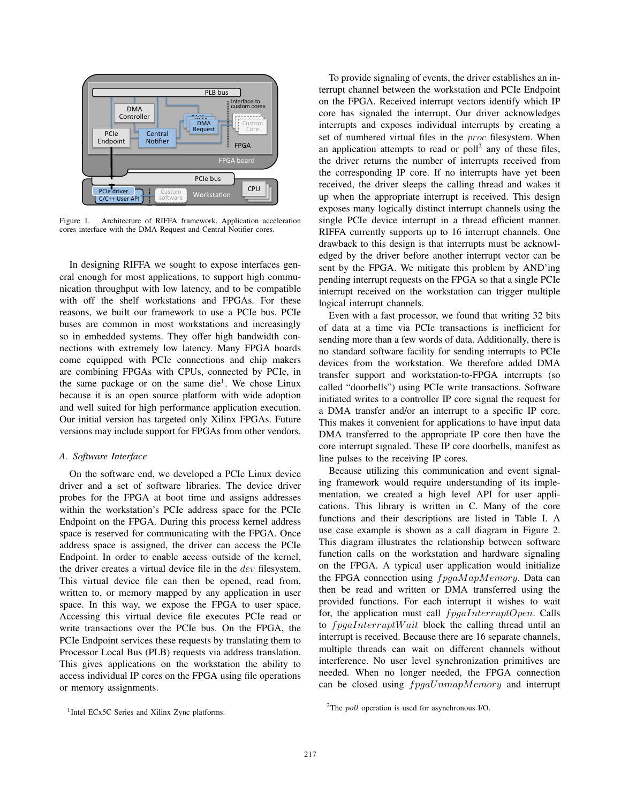

Figure 1. Architecture of RIFFA framework. Application acceleration cores interface with the DMA Request and Central Notifier cores.

In designing RIFFA we sought to expose interfaces general enough for most applications, to support high communication throughput with low latency, and to be compatible with off the shelf workstations and FPGAs. For these reasons, we built our framework to use a PCIe bus. PCIe buses are common in most workstations and increasingly so in embedded systems. They offer high bandwidth connections with extremely low latency. Many FPGA boards come equipped with PCIe connections and chip makers are combining FPGAs with CPUs, connected by PCIe, in the same package or on the same die $<sup>1</sup>$ . We chose Linux</sup> because it is an open source platform with wide adoption and well suited for high performance application execution. Our initial version has targeted only Xilinx FPGAs. Future versions may include support for FPGAs from other vendors.

## *A. Software Interface*

On the software end, we developed a PCIe Linux device driver and a set of software libraries. The device driver probes for the FPGA at boot time and assigns addresses within the workstation's PCIe address space for the PCIe Endpoint on the FPGA. During this process kernel address space is reserved for communicating with the FPGA. Once address space is assigned, the driver can access the PCIe Endpoint. In order to enable access outside of the kernel, the driver creates a virtual device file in the dev filesystem. This virtual device file can then be opened, read from, written to, or memory mapped by any application in user space. In this way, we expose the FPGA to user space. Accessing this virtual device file executes PCIe read or write transactions over the PCIe bus. On the FPGA, the PCIe Endpoint services these requests by translating them to Processor Local Bus (PLB) requests via address translation. This gives applications on the workstation the ability to access individual IP cores on the FPGA using file operations or memory assignments.

To provide signaling of events, the driver establishes an interrupt channel between the workstation and PCIe Endpoint on the FPGA. Received interrupt vectors identify which IP core has signaled the interrupt. Our driver acknowledges interrupts and exposes individual interrupts by creating a set of numbered virtual files in the *proc* filesystem. When an application attempts to read or  $\text{poll}^2$  any of these files, the driver returns the number of interrupts received from the corresponding IP core. If no interrupts have yet been received, the driver sleeps the calling thread and wakes it up when the appropriate interrupt is received. This design exposes many logically distinct interrupt channels using the single PCIe device interrupt in a thread efficient manner. RIFFA currently supports up to 16 interrupt channels. One drawback to this design is that interrupts must be acknowledged by the driver before another interrupt vector can be sent by the FPGA. We mitigate this problem by AND'ing pending interrupt requests on the FPGA so that a single PCIe interrupt received on the workstation can trigger multiple logical interrupt channels.

Even with a fast processor, we found that writing 32 bits of data at a time via PCIe transactions is inefficient for sending more than a few words of data. Additionally, there is no standard software facility for sending interrupts to PCIe devices from the workstation. We therefore added DMA transfer support and workstation-to-FPGA interrupts (so called "doorbells") using PCIe write transactions. Software initiated writes to a controller IP core signal the request for a DMA transfer and/or an interrupt to a specific IP core. This makes it convenient for applications to have input data DMA transferred to the appropriate IP core then have the core interrupt signaled. These IP core doorbells, manifest as line pulses to the receiving IP cores.

Because utilizing this communication and event signaling framework would require understanding of its implementation, we created a high level API for user applications. This library is written in C. Many of the core functions and their descriptions are listed in Table I. A use case example is shown as a call diagram in Figure 2. This diagram illustrates the relationship between software function calls on the workstation and hardware signaling on the FPGA. A typical user application would initialize the FPGA connection using  $f_{pqa}M_{apMemory.}$  Data can then be read and written or DMA transferred using the provided functions. For each interrupt it wishes to wait for, the application must call  $fpgaInterruptOpen.$  Calls to  $f$ *pgaInterruptWait* block the calling thread until an interrupt is received. Because there are 16 separate channels, multiple threads can wait on different channels without interference. No user level synchronization primitives are needed. When no longer needed, the FPGA connection can be closed using  $f$  *pgaUnmapMemory* and interrupt

<sup>&</sup>lt;sup>1</sup>Intel ECx5C Series and Xilinx Zync platforms.

<sup>2</sup>The *poll* operation is used for asynchronous I/O.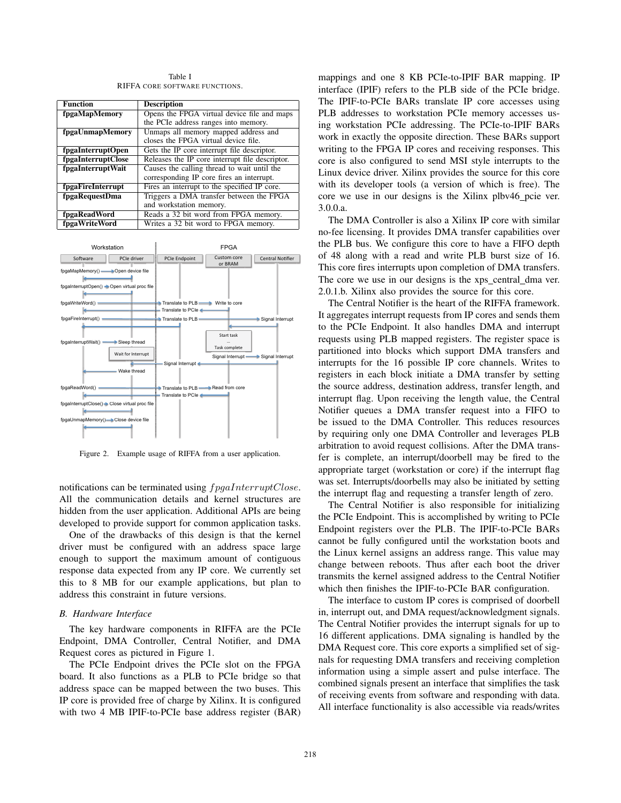Table I RIFFA CORE SOFTWARE FUNCTIONS.

| <b>Function</b>    | <b>Description</b>                              |  |  |  |  |
|--------------------|-------------------------------------------------|--|--|--|--|
| fpgaMapMemory      | Opens the FPGA virtual device file and maps     |  |  |  |  |
|                    | the PCIe address ranges into memory.            |  |  |  |  |
| fpgaUnmapMemory    | Unmaps all memory mapped address and            |  |  |  |  |
|                    | closes the FPGA virtual device file.            |  |  |  |  |
| fpgaInterruptOpen  | Gets the IP core interrupt file descriptor.     |  |  |  |  |
| fpgaInterruptClose | Releases the IP core interrupt file descriptor. |  |  |  |  |
| fpgaInterruptWait  | Causes the calling thread to wait until the     |  |  |  |  |
|                    | corresponding IP core fires an interrupt.       |  |  |  |  |
| fpgaFireInterrupt  | Fires an interrupt to the specified IP core.    |  |  |  |  |
| fpgaRequestDma     | Triggers a DMA transfer between the FPGA        |  |  |  |  |
|                    | and workstation memory.                         |  |  |  |  |
| fpgaReadWord       | Reads a 32 bit word from FPGA memory.           |  |  |  |  |
| fpgaWriteWord      | Writes a 32 bit word to FPGA memory.            |  |  |  |  |



Figure 2. Example usage of RIFFA from a user application.

notifications can be terminated using  $fpgaInterruptClose$ . All the communication details and kernel structures are hidden from the user application. Additional APIs are being developed to provide support for common application tasks.

One of the drawbacks of this design is that the kernel driver must be configured with an address space large enough to support the maximum amount of contiguous response data expected from any IP core. We currently set this to 8 MB for our example applications, but plan to address this constraint in future versions.

# *B. Hardware Interface*

The key hardware components in RIFFA are the PCIe Endpoint, DMA Controller, Central Notifier, and DMA Request cores as pictured in Figure 1.

The PCIe Endpoint drives the PCIe slot on the FPGA board. It also functions as a PLB to PCIe bridge so that address space can be mapped between the two buses. This IP core is provided free of charge by Xilinx. It is configured with two 4 MB IPIF-to-PCIe base address register (BAR)

mappings and one 8 KB PCIe-to-IPIF BAR mapping. IP interface (IPIF) refers to the PLB side of the PCIe bridge. The IPIF-to-PCIe BARs translate IP core accesses using PLB addresses to workstation PCIe memory accesses using workstation PCIe addressing. The PCIe-to-IPIF BARs work in exactly the opposite direction. These BARs support writing to the FPGA IP cores and receiving responses. This core is also configured to send MSI style interrupts to the Linux device driver. Xilinx provides the source for this core with its developer tools (a version of which is free). The core we use in our designs is the Xilinx plbv46 pcie ver. 3.0.0.a.

The DMA Controller is also a Xilinx IP core with similar no-fee licensing. It provides DMA transfer capabilities over the PLB bus. We configure this core to have a FIFO depth of 48 along with a read and write PLB burst size of 16. This core fires interrupts upon completion of DMA transfers. The core we use in our designs is the xps\_central\_dma ver. 2.0.1.b. Xilinx also provides the source for this core.

The Central Notifier is the heart of the RIFFA framework. It aggregates interrupt requests from IP cores and sends them to the PCIe Endpoint. It also handles DMA and interrupt requests using PLB mapped registers. The register space is partitioned into blocks which support DMA transfers and interrupts for the 16 possible IP core channels. Writes to registers in each block initiate a DMA transfer by setting the source address, destination address, transfer length, and interrupt flag. Upon receiving the length value, the Central Notifier queues a DMA transfer request into a FIFO to be issued to the DMA Controller. This reduces resources by requiring only one DMA Controller and leverages PLB arbitration to avoid request collisions. After the DMA transfer is complete, an interrupt/doorbell may be fired to the appropriate target (workstation or core) if the interrupt flag was set. Interrupts/doorbells may also be initiated by setting the interrupt flag and requesting a transfer length of zero.

The Central Notifier is also responsible for initializing the PCIe Endpoint. This is accomplished by writing to PCIe Endpoint registers over the PLB. The IPIF-to-PCIe BARs cannot be fully configured until the workstation boots and the Linux kernel assigns an address range. This value may change between reboots. Thus after each boot the driver transmits the kernel assigned address to the Central Notifier which then finishes the IPIF-to-PCIe BAR configuration.

The interface to custom IP cores is comprised of doorbell in, interrupt out, and DMA request/acknowledgment signals. The Central Notifier provides the interrupt signals for up to 16 different applications. DMA signaling is handled by the DMA Request core. This core exports a simplified set of signals for requesting DMA transfers and receiving completion information using a simple assert and pulse interface. The combined signals present an interface that simplifies the task of receiving events from software and responding with data. All interface functionality is also accessible via reads/writes